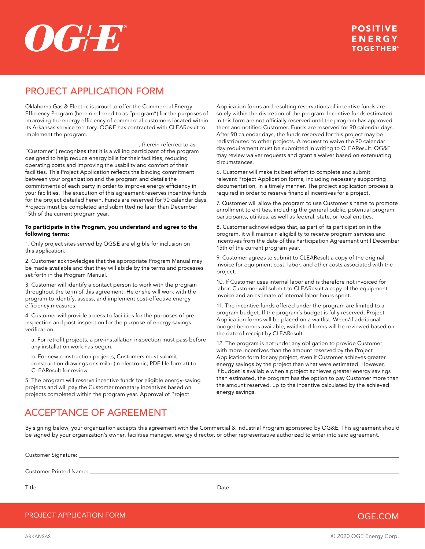# $\boldsymbol{OGLE}^*$

## PROJECT APPLICATION FORM

Oklahoma Gas & Electric is proud to offer the Commercial Energy Efficiency Program (herein referred to as "program") for the purposes of improving the energy efficiency of commercial customers located within its Arkansas service territory. OG&E has contracted with CLEAResult to implement the program.

 $\overline{\phantom{a}}$ , (herein referred to as "Customer") recognizes that it is a willing participant of the program designed to help reduce energy bills for their facilities, reducing operating costs and improving the usability and comfort of their facilities. This Project Application reflects the binding commitment between your organization and the program and details the commitments of each party in order to improve energy efficiency in your facilities. The execution of this agreement reserves incentive funds for the project detailed herein. Funds are reserved for 90 calendar days. Projects must be completed and submitted no later than December 15th of the current program year.

#### To participate in the Program, you understand and agree to the following terms:

1. Only project sites served by OG&E are eligible for inclusion on this application.

2. Customer acknowledges that the appropriate Program Manual may be made available and that they will abide by the terms and processes set forth in the Program Manual.

3. Customer will identify a contact person to work with the program throughout the term of this agreement. He or she will work with the program to identify, assess, and implement cost-effective energy efficiency measures.

4. Customer will provide access to facilities for the purposes of preinspection and post-inspection for the purpose of energy savings verification.

a. For retrofit projects, a pre-installation inspection must pass before any installation work has begun.

b. For new construction projects, Customers must submit construction drawings or similar (in electronic, PDF file format) to CLEAResult for review.

5. The program will reserve incentive funds for eligible energy-saving projects and will pay the Customer monetary incentives based on projects completed within the program year. Approval of Project

Application forms and resulting reservations of incentive funds are solely within the discretion of the program. Incentive funds estimated in this form are not officially reserved until the program has approved them and notified Customer. Funds are reserved for 90 calendar days. After 90 calendar days, the funds reserved for this project may be redistributed to other projects. A request to waive the 90 calendar day requirement must be submitted in writing to CLEAResult. OG&E may review waiver requests and grant a waiver based on extenuating circumstances.

6. Customer will make its best effort to complete and submit relevant Project Application forms, including necessary supporting documentation, in a timely manner. The project application process is required in order to reserve financial incentives for a project.

7. Customer will allow the program to use Customer's name to promote enrollment to entities, including the general public, potential program participants, utilities, as well as federal, state, or local entities.

8. Customer acknowledges that, as part of its participation in the program, it will maintain eligibility to receive program services and incentives from the date of this Participation Agreement until December 15th of the current program year.

9. Customer agrees to submit to CLEAResult a copy of the original invoice for equipment cost, labor, and other costs associated with the project.

10. If Customer uses internal labor and is therefore not invoiced for labor, Customer will submit to CLEAResult a copy of the equipment invoice and an estimate of internal labor hours spent.

11. The incentive funds offered under the program are limited to a program budget. If the program's budget is fully reserved, Project Application forms will be placed on a waitlist. When/if additional budget becomes available, waitlisted forms will be reviewed based on the date of receipt by CLEAResult.

12. The program is not under any obligation to provide Customer with more incentives than the amount reserved by the Project Application form for any project, even if Customer achieves greater energy savings by the project than what were estimated. However, if budget is available when a project achieves greater energy savings than estimated, the program has the option to pay Customer more than the amount reserved, up to the incentive calculated by the achieved energy savings.

## ACCEPTANCE OF AGREEMENT

By signing below, your organization accepts this agreement with the Commercial & Industrial Program sponsored by OG&E. This agreement should be signed by your organization's owner, facilities manager, energy director, or other representative authorized to enter into said agreement.

| Customer Signature: _    |
|--------------------------|
|                          |
| Customer Printed Name: _ |
|                          |

Title: Date:

PROJECT APPLICATION FORM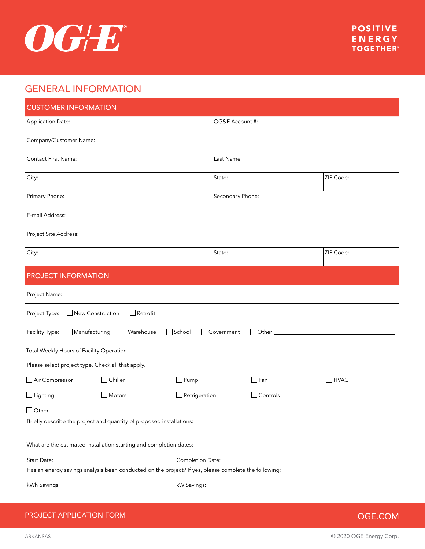

## GENERAL INFORMATION

| <b>CUSTOMER INFORMATION</b>                                                                          |                  |             |  |  |  |
|------------------------------------------------------------------------------------------------------|------------------|-------------|--|--|--|
| Application Date:                                                                                    | OG&E Account #:  |             |  |  |  |
| Company/Customer Name:                                                                               |                  |             |  |  |  |
| Contact First Name:                                                                                  | Last Name:       |             |  |  |  |
| City:                                                                                                | State:           | ZIP Code:   |  |  |  |
| Primary Phone:                                                                                       | Secondary Phone: |             |  |  |  |
| E-mail Address:                                                                                      |                  |             |  |  |  |
| Project Site Address:                                                                                |                  |             |  |  |  |
| City:                                                                                                | State:           | ZIP Code:   |  |  |  |
| PROJECT INFORMATION                                                                                  |                  |             |  |  |  |
| Project Name:                                                                                        |                  |             |  |  |  |
| New Construction<br>$\Box$ Retrofit<br>Project Type:                                                 |                  |             |  |  |  |
| School<br>Manufacturing<br>Warehouse<br>$\Box$ Other<br>Facility Type:<br>Government<br>$\mathbf{I}$ |                  |             |  |  |  |
| Total Weekly Hours of Facility Operation:                                                            |                  |             |  |  |  |
| Please select project type. Check all that apply.                                                    |                  |             |  |  |  |
| $\Box$ Chiller<br>$\Box$ Pump<br>Air Compressor                                                      | $\Box$ Fan       | $\Box$ HVAC |  |  |  |
| $\Box$ Lighting<br>$\exists$ Refrigeration<br>Motors                                                 | Controls         |             |  |  |  |
| $\bigcup$ Other $\bigl[$                                                                             |                  |             |  |  |  |
| Briefly describe the project and quantity of proposed installations:                                 |                  |             |  |  |  |
| What are the estimated installation starting and completion dates:                                   |                  |             |  |  |  |
| Start Date:<br>Completion Date:                                                                      |                  |             |  |  |  |
| Has an energy savings analysis been conducted on the project? If yes, please complete the following: |                  |             |  |  |  |
| kWh Savings:<br>kW Savings:                                                                          |                  |             |  |  |  |

## PROJECT APPLICATION FORM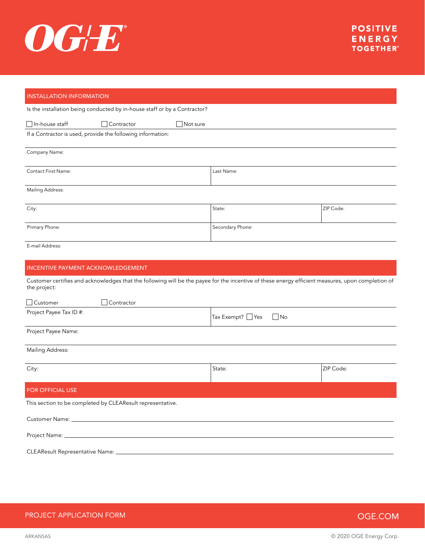

## INSTALLATION INFORMATION Is the installation being conducted by in-house staff or by a Contractor? □In-house staff Contractor Not sure If a Contractor is used, provide the following information: Company Name: Contact First Name: Last Name: Mailing Address: الكلمة التي تقدم المستخدم المستخدم التي تقدم المستخدم المستخدم المستخدم المستخدم المستخدم المستخدم المستخدم ال Primary Phone: Secondary Phone: Secondary Phone: Secondary Phone: Secondary Phone: Secondary Phone: Secondary Phone: Secondary Phone: Secondary Phone: Secondary Phone: Secondary Phone: Secondary Phone: Secondary Phone: Sec E-mail Address: INCENTIVE PAYMENT ACKNOWLEDGEMENT Customer certifies and acknowledges that the following will be the payee for the incentive of these energy efficient measures, upon completion of the project: □ Customer □ Contractor Project Payee Tax ID #:  $\begin{array}{ccc} \text{Project Payee Tax ID} & \text{First Four ID} \end{array}$ Project Payee Name: Mailing Address: City: State: ZIP Code: FOR OFFICIAL USE This section to be completed by CLEAResult representative. Customer Name: Project Name: CLEAResult Representative Name:

PROJECT APPLICATION FORM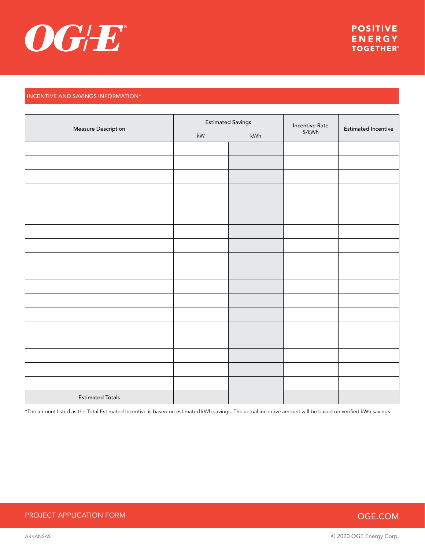

## INCENTIVE AND SAVINGS INFORMATION\*

|                         | <b>Estimated Savings</b> |     | <b>Incentive Rate</b> | <b>Estimated Incentive</b> |
|-------------------------|--------------------------|-----|-----------------------|----------------------------|
| Measure Description     | $\mathsf{k}\mathsf{W}$   | kWh | $\sqrt{kWh}$          |                            |
|                         |                          |     |                       |                            |
|                         |                          |     |                       |                            |
|                         |                          |     |                       |                            |
|                         |                          |     |                       |                            |
|                         |                          |     |                       |                            |
|                         |                          |     |                       |                            |
|                         |                          |     |                       |                            |
|                         |                          |     |                       |                            |
|                         |                          |     |                       |                            |
|                         |                          |     |                       |                            |
|                         |                          |     |                       |                            |
|                         |                          |     |                       |                            |
|                         |                          |     |                       |                            |
|                         |                          |     |                       |                            |
|                         |                          |     |                       |                            |
|                         |                          |     |                       |                            |
|                         |                          |     |                       |                            |
|                         |                          |     |                       |                            |
| <b>Estimated Totals</b> |                          |     |                       |                            |

\*The amount listed as the Total Estimated Incentive is based on estimated kWh savings. The actual incentive amount will be based on verified kWh savings.

## PROJECT APPLICATION FORM